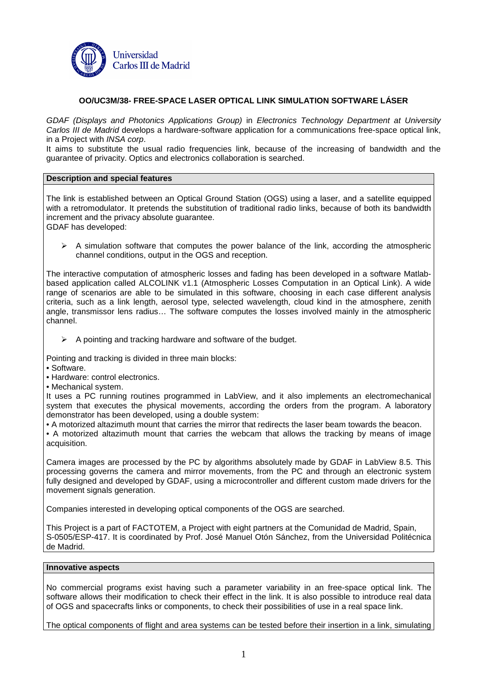

# **OO/UC3M/38- FREE-SPACE LASER OPTICAL LINK SIMULATION SOFTWARE LÁSER**

GDAF (Displays and Photonics Applications Group) in Electronics Technology Department at University Carlos III de Madrid develops a hardware-software application for a communications free-space optical link, in a Project with INSA corp.

It aims to substitute the usual radio frequencies link, because of the increasing of bandwidth and the guarantee of privacity. Optics and electronics collaboration is searched.

## **Description and special features**

The link is established between an Optical Ground Station (OGS) using a laser, and a satellite equipped with a retromodulator. It pretends the substitution of traditional radio links, because of both its bandwidth increment and the privacy absolute guarantee.

GDAF has developed:

 A simulation software that computes the power balance of the link, according the atmospheric channel conditions, output in the OGS and reception.

The interactive computation of atmospheric losses and fading has been developed in a software Matlabbased application called ALCOLINK v1.1 (Atmospheric Losses Computation in an Optical Link). A wide range of scenarios are able to be simulated in this software, choosing in each case different analysis criteria, such as a link length, aerosol type, selected wavelength, cloud kind in the atmosphere, zenith angle, transmissor lens radius… The software computes the losses involved mainly in the atmospheric channel.

- $\triangleright$  A pointing and tracking hardware and software of the budget.
- Pointing and tracking is divided in three main blocks:
- Software.
- Hardware: control electronics.
- Mechanical system.

It uses a PC running routines programmed in LabView, and it also implements an electromechanical system that executes the physical movements, according the orders from the program. A laboratory demonstrator has been developed, using a double system:

• A motorized altazimuth mount that carries the mirror that redirects the laser beam towards the beacon.

• A motorized altazimuth mount that carries the webcam that allows the tracking by means of image acquisition.

Camera images are processed by the PC by algorithms absolutely made by GDAF in LabView 8.5. This processing governs the camera and mirror movements, from the PC and through an electronic system fully designed and developed by GDAF, using a microcontroller and different custom made drivers for the movement signals generation.

Companies interested in developing optical components of the OGS are searched.

This Project is a part of FACTOTEM, a Project with eight partners at the Comunidad de Madrid, Spain, S-0505/ESP-417. It is coordinated by Prof. José Manuel Otón Sánchez, from the Universidad Politécnica de Madrid.

#### **Innovative aspects**

No commercial programs exist having such a parameter variability in an free-space optical link. The software allows their modification to check their effect in the link. It is also possible to introduce real data of OGS and spacecrafts links or components, to check their possibilities of use in a real space link.

The optical components of flight and area systems can be tested before their insertion in a link, simulating